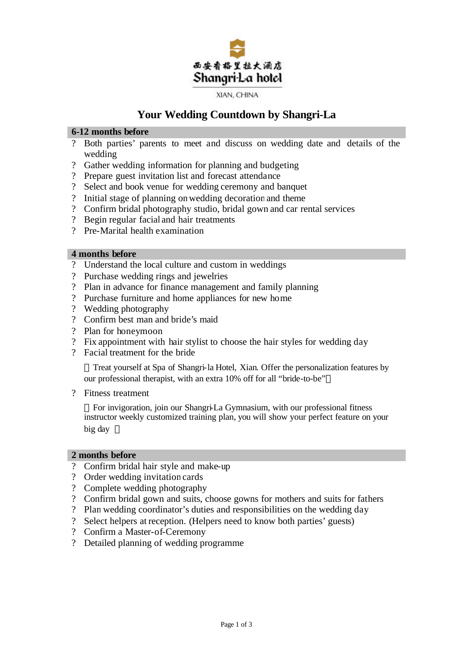

# **Your Wedding Countdown by Shangri-La**

#### **6-12 months before**

- ? Both parties' parents to meet and discuss on wedding date and details of the wedding
- ? Gather wedding information for planning and budgeting
- ? Prepare guest invitation list and forecast attendance
- ? Select and book venue for wedding ceremony and banquet
- ? Initial stage of planning onwedding decoration and theme
- ? Confirm bridal photography studio, bridal gown and car rental services
- ? Begin regular facial and hair treatments
- ? Pre-Marital health examination

#### **4 months before**

- ? Understand the local culture and custom in weddings
- ? Purchase wedding rings and jewelries
- ? Plan in advance for finance management and family planning
- ? Purchase furniture and home appliances for new home
- ? Wedding photography
- ? Confirm best man and bride's maid
- ? Plan for honeymoon
- ? Fix appointment with hair stylist to choose the hair styles for wedding day
- ? Facial treatment for the bride

Treat yourself at Spa of Shangri-la Hotel, Xian. Offer the personalization features by our professional therapist, with an extra 10% off for all "bride-to-be"

? Fitness treatment

For invigoration, join our Shangri-La Gymnasium, with our professional fitness instructor weekly customized training plan, you will show your perfect feature on your big day

#### **2 months before**

- ? Confirm bridal hair style and make-up
- ? Order wedding invitation cards
- ? Complete wedding photography
- ? Confirm bridal gown and suits, choose gowns for mothers and suits for fathers
- ? Plan wedding coordinator's duties and responsibilities on the wedding day
- ? Select helpers at reception. (Helpers need to know both parties'guests)
- ? Confirm a Master-of-Ceremony
- ? Detailed planning of wedding programme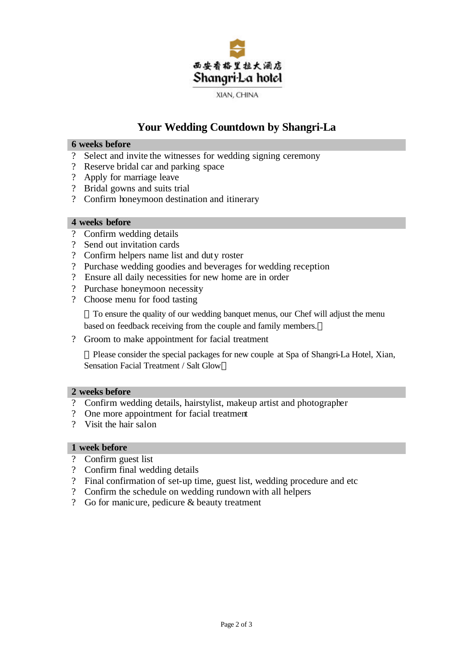

# **Your Wedding Countdown by Shangri-La**

#### **6 weeks before**

- ? Select and invite the witnesses for wedding signing ceremony
- ? Reserve bridal car and parking space
- ? Apply for marriage leave
- ? Bridal gowns and suits trial
- ? Confirm honeymoon destination and itinerary

### **4 weeks before**

- ? Confirm wedding details
- ? Send out invitation cards
- ? Confirm helpers name list and duty roster
- ? Purchase wedding goodies and beverages for wedding reception
- ? Ensure all daily necessities for new home are in order
- ? Purchase honeymoon necessity
- ? Choose menu for food tasting

To ensure the quality of our wedding banquet menus, our Chef will adjust the menu based on feedback receiving from the couple and family members.

? Groom to make appointment for facial treatment

Please consider the special packages for new couple at Spa of Shangri-La Hotel, Xian, Sensation Facial Treatment / Salt Glow

#### **2 weeks before**

- ? Confirm wedding details, hairstylist, makeup artist and photographer
- ? One more appointment for facial treatment
- ? Visit the hair salon

## **1 week before**

- ? Confirm guest list
- ? Confirm final wedding details
- ? Final confirmation of set-up time, guest list, wedding procedure and etc
- ? Confirm the schedule on wedding rundown with all helpers
- ? Go for manicure, pedicure & beauty treatment